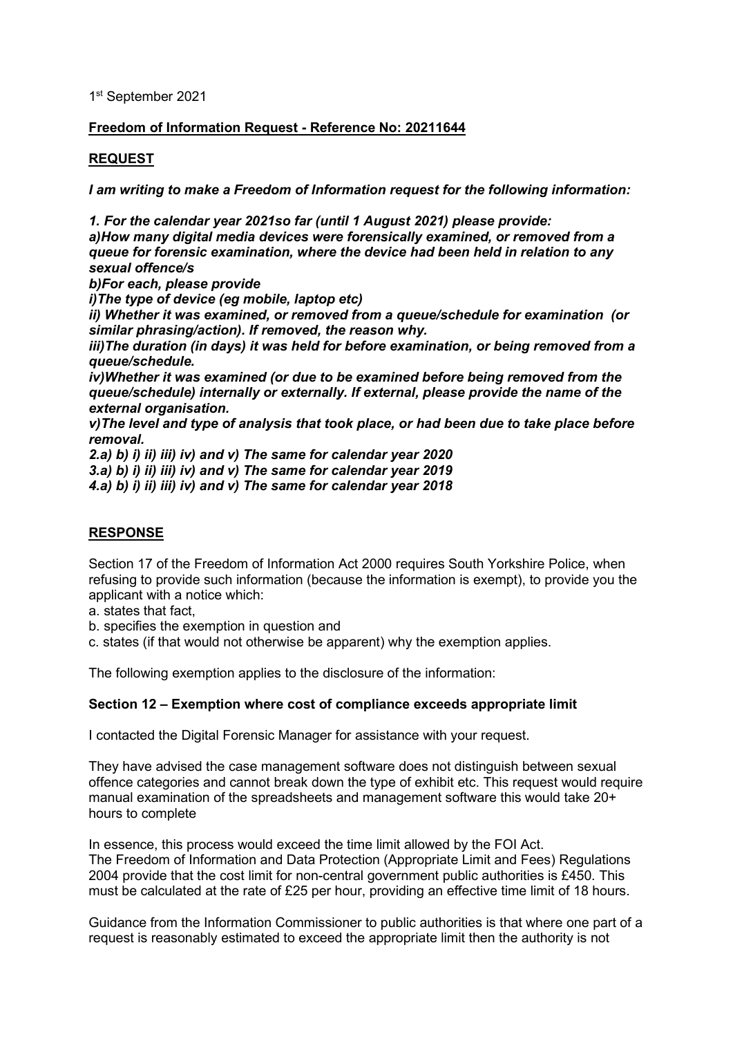1<sup>st</sup> September 2021

## **Freedom of Information Request - Reference No: 20211644**

## **REQUEST**

*I am writing to make a Freedom of Information request for the following information:*

*1. For the calendar year 2021so far (until 1 August 2021) please provide: a)How many digital media devices were forensically examined, or removed from a queue for forensic examination, where the device had been held in relation to any sexual offence/s*

*b)For each, please provide*

*i)The type of device (eg mobile, laptop etc)*

*ii) Whether it was examined, or removed from a queue/schedule for examination (or similar phrasing/action). If removed, the reason why.*

*iii)The duration (in days) it was held for before examination, or being removed from a queue/schedule.*

*iv)Whether it was examined (or due to be examined before being removed from the queue/schedule) internally or externally. If external, please provide the name of the external organisation.*

*v)The level and type of analysis that took place, or had been due to take place before removal.*

*2.a) b) i) ii) iii) iv) and v) The same for calendar year 2020*

*3.a) b) i) ii) iii) iv) and v) The same for calendar year 2019*

*4.a) b) i) ii) iii) iv) and v) The same for calendar year 2018*

## **RESPONSE**

Section 17 of the Freedom of Information Act 2000 requires South Yorkshire Police, when refusing to provide such information (because the information is exempt), to provide you the applicant with a notice which:

- a. states that fact,
- b. specifies the exemption in question and
- c. states (if that would not otherwise be apparent) why the exemption applies.

The following exemption applies to the disclosure of the information:

## **Section 12 – Exemption where cost of compliance exceeds appropriate limit**

I contacted the Digital Forensic Manager for assistance with your request.

They have advised the case management software does not distinguish between sexual offence categories and cannot break down the type of exhibit etc. This request would require manual examination of the spreadsheets and management software this would take 20+ hours to complete

In essence, this process would exceed the time limit allowed by the FOI Act. The Freedom of Information and Data Protection (Appropriate Limit and Fees) Regulations 2004 provide that the cost limit for non-central government public authorities is £450. This must be calculated at the rate of £25 per hour, providing an effective time limit of 18 hours.

Guidance from the Information Commissioner to public authorities is that where one part of a request is reasonably estimated to exceed the appropriate limit then the authority is not